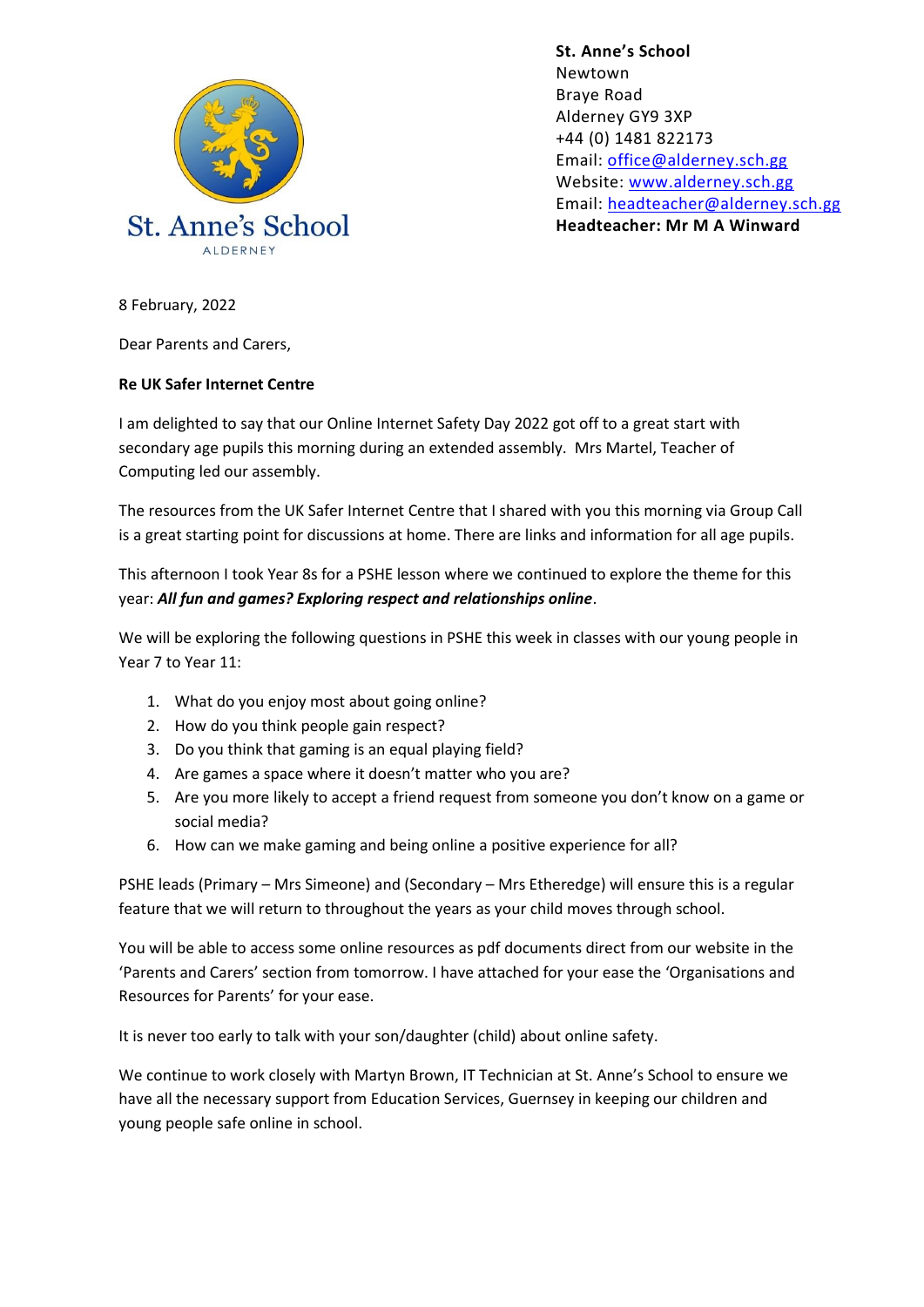

**St. Anne's School**  Newtown Braye Road Alderney GY9 3XP +44 (0) 1481 822173 Email: [office@alderney.sch.gg](mailto:office@alderney.sch.gg) Website: [www.alderney.sch.gg](http://www.alderney.sch.gg/) Email: [headteacher@alderney.sch.gg](mailto:headteacher@alderney.sch.gg) **Headteacher: Mr M A Winward**

8 February, 2022

Dear Parents and Carers,

## **Re UK Safer Internet Centre**

I am delighted to say that our Online Internet Safety Day 2022 got off to a great start with secondary age pupils this morning during an extended assembly. Mrs Martel, Teacher of Computing led our assembly.

The resources from the UK Safer Internet Centre that I shared with you this morning via Group Call is a great starting point for discussions at home. There are links and information for all age pupils.

This afternoon I took Year 8s for a PSHE lesson where we continued to explore the theme for this year: *All fun and games? Exploring respect and relationships online*.

We will be exploring the following questions in PSHE this week in classes with our young people in Year 7 to Year 11:

- 1. What do you enjoy most about going online?
- 2. How do you think people gain respect?
- 3. Do you think that gaming is an equal playing field?
- 4. Are games a space where it doesn't matter who you are?
- 5. Are you more likely to accept a friend request from someone you don't know on a game or social media?
- 6. How can we make gaming and being online a positive experience for all?

PSHE leads (Primary – Mrs Simeone) and (Secondary – Mrs Etheredge) will ensure this is a regular feature that we will return to throughout the years as your child moves through school.

You will be able to access some online resources as pdf documents direct from our website in the 'Parents and Carers' section from tomorrow. I have attached for your ease the 'Organisations and Resources for Parents' for your ease.

It is never too early to talk with your son/daughter (child) about online safety.

We continue to work closely with Martyn Brown, IT Technician at St. Anne's School to ensure we have all the necessary support from Education Services, Guernsey in keeping our children and young people safe online in school.